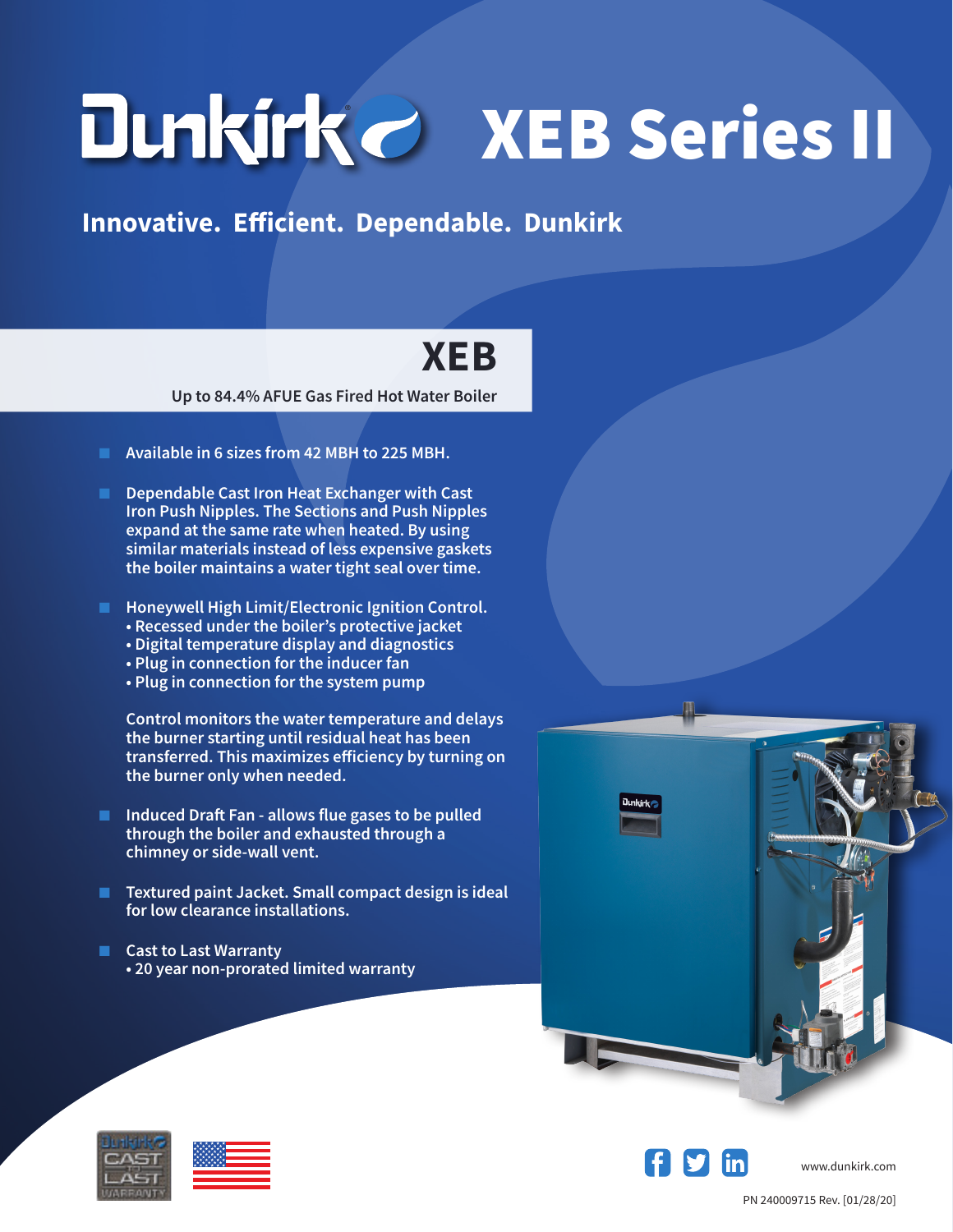## Dunkirke XEB Series II

**Innovative. Efficient. Dependable. Dunkirk**

## **XEB**

**Up to 84.4% AFUE Gas Fired Hot Water Boiler**

- Available in 6 sizes from 42 MBH to 225 MBH.
- **Dependable Cast Iron Heat Exchanger with Cast Iron Push Nipples. The Sections and Push Nipples expand at the same rate when heated. By using similar materials instead of less expensive gaskets the boiler maintains a water tight seal over time.**
- **Honeywell High Limit/Electronic Ignition Control.** 
	- **Recessed under the boiler's protective jacket**
	- **Digital temperature display and diagnostics**
	- **Plug in connection for the inducer fan**
	- **Plug in connection for the system pump**

**Control monitors the water temperature and delays the burner starting until residual heat has been transferred. This maximizes efficiency by turning on the burner only when needed.**

- **Induced Draft Fan allows flue gases to be pulled through the boiler and exhausted through a chimney or side-wall vent.**
- **Textured paint Jacket. Small compact design is ideal for low clearance installations.**
- **Cast to Last Warranty • 20 year non-prorated limited warranty**









www.dunkirk.com